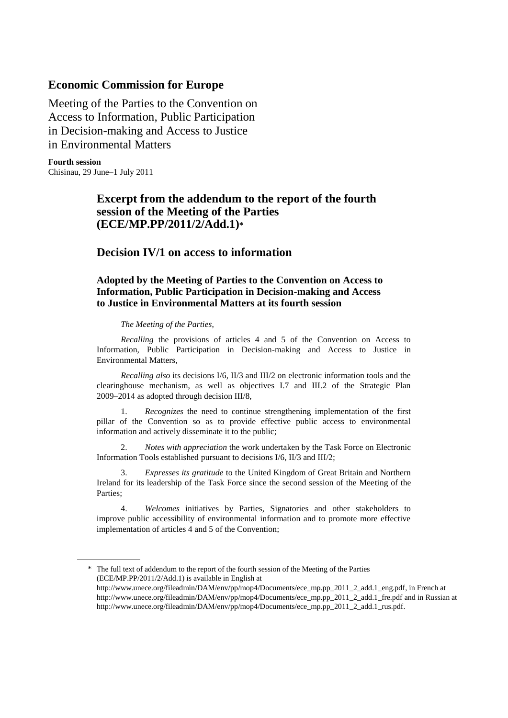## **Economic Commission for Europe**

Meeting of the Parties to the Convention on Access to Information, Public Participation in Decision-making and Access to Justice in Environmental Matters

**Fourth session** Chisinau, 29 June–1 July 2011

# **Excerpt from the addendum to the report of the fourth session of the Meeting of the Parties (ECE/MP.PP/2011/2/Add.1)\***

# **Decision IV/1 on access to information**

### **Adopted by the Meeting of Parties to the Convention on Access to Information, Public Participation in Decision-making and Access to Justice in Environmental Matters at its fourth session**

#### *The Meeting of the Parties*,

*Recalling* the provisions of articles 4 and 5 of the Convention on Access to Information, Public Participation in Decision-making and Access to Justice in Environmental Matters,

*Recalling also* its decisions I/6, II/3 and III/2 on electronic information tools and the clearinghouse mechanism, as well as objectives I.7 and III.2 of the Strategic Plan 2009–2014 as adopted through decision III/8,

1. *Recognizes* the need to continue strengthening implementation of the first pillar of the Convention so as to provide effective public access to environmental information and actively disseminate it to the public;

2. *Notes with appreciation* the work undertaken by the Task Force on Electronic Information Tools established pursuant to decisions I/6, II/3 and III/2;

3. *Expresses its gratitude* to the United Kingdom of Great Britain and Northern Ireland for its leadership of the Task Force since the second session of the Meeting of the Parties;

4. *Welcomes* initiatives by Parties, Signatories and other stakeholders to improve public accessibility of environmental information and to promote more effective implementation of articles 4 and 5 of the Convention;

<sup>\*</sup> The full text of addendum to the report of the fourth session of the Meeting of the Parties (ECE/MP.PP/2011/2/Add.1) is available in English at

[http://www.unece.org/fileadmin/DAM/env/pp/mop4/Documents/ece\\_mp.pp\\_2011\\_2\\_add.1\\_eng.pdf,](http://www.unece.org/fileadmin/DAM/env/pp/mop4/Documents/ece_mp.pp_2011_2_add.1_eng.pdf) in French at [http://www.unece.org/fileadmin/DAM/env/pp/mop4/Documents/ece\\_mp.pp\\_2011\\_2\\_add.1\\_fre.pdf](http://www.unece.org/fileadmin/DAM/env/pp/mop4/Documents/ece_mp.pp_2011_2_add.1_fre.pdf) and in Russian at http://www.unece.org/fileadmin/DAM/env/pp/mop4/Documents/ece\_mp.pp\_2011\_2\_add.1\_rus.pdf.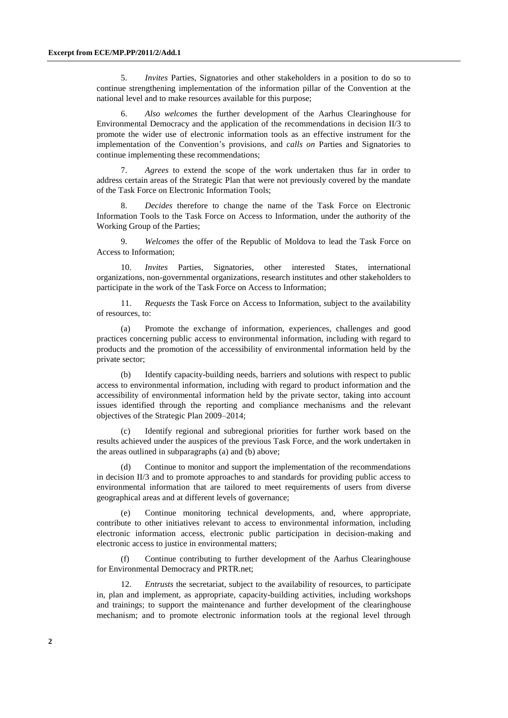5. *Invites* Parties, Signatories and other stakeholders in a position to do so to continue strengthening implementation of the information pillar of the Convention at the national level and to make resources available for this purpose;

6. *Also welcomes* the further development of the Aarhus Clearinghouse for Environmental Democracy and the application of the recommendations in decision II/3 to promote the wider use of electronic information tools as an effective instrument for the implementation of the Convention's provisions, and *calls on* Parties and Signatories to continue implementing these recommendations;

7. *Agrees* to extend the scope of the work undertaken thus far in order to address certain areas of the Strategic Plan that were not previously covered by the mandate of the Task Force on Electronic Information Tools;

8. *Decides* therefore to change the name of the Task Force on Electronic Information Tools to the Task Force on Access to Information, under the authority of the Working Group of the Parties;

9. *Welcomes* the offer of the Republic of Moldova to lead the Task Force on Access to Information;

10. *Invites* Parties, Signatories, other interested States, international organizations, non-governmental organizations, research institutes and other stakeholders to participate in the work of the Task Force on Access to Information;

11. *Requests* the Task Force on Access to Information, subject to the availability of resources, to:

(a) Promote the exchange of information, experiences, challenges and good practices concerning public access to environmental information, including with regard to products and the promotion of the accessibility of environmental information held by the private sector;

(b) Identify capacity-building needs, barriers and solutions with respect to public access to environmental information, including with regard to product information and the accessibility of environmental information held by the private sector, taking into account issues identified through the reporting and compliance mechanisms and the relevant objectives of the Strategic Plan 2009–2014;

(c) Identify regional and subregional priorities for further work based on the results achieved under the auspices of the previous Task Force, and the work undertaken in the areas outlined in subparagraphs (a) and (b) above;

Continue to monitor and support the implementation of the recommendations in decision II/3 and to promote approaches to and standards for providing public access to environmental information that are tailored to meet requirements of users from diverse geographical areas and at different levels of governance;

(e) Continue monitoring technical developments, and, where appropriate, contribute to other initiatives relevant to access to environmental information, including electronic information access, electronic public participation in decision-making and electronic access to justice in environmental matters;

(f) Continue contributing to further development of the Aarhus Clearinghouse for Environmental Democracy and PRTR.net;

12. *Entrusts* the secretariat, subject to the availability of resources, to participate in, plan and implement, as appropriate, capacity-building activities, including workshops and trainings; to support the maintenance and further development of the clearinghouse mechanism; and to promote electronic information tools at the regional level through